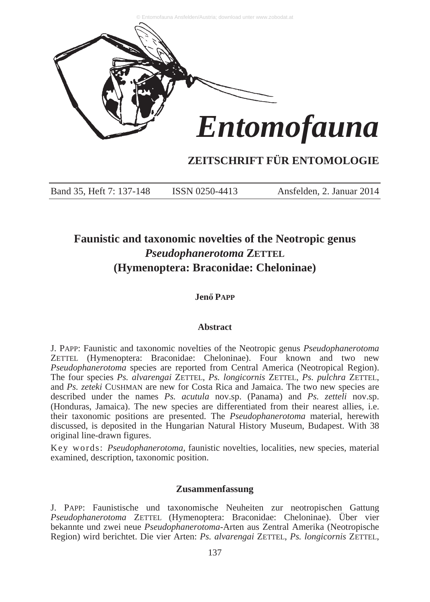

# **ZEITSCHRIFT FÜR ENTOMOLOGIE**

Band 35, Heft 7: 137-148 ISSN 0250-4413 Ansfelden, 2. Januar 2014

# **Faunistic and taxonomic novelties of the Neotropic genus** *Pseudophanerotoma* **ZETTEL (Hymenoptera: Braconidae: Cheloninae)**

## **JenĘ PAPP**

#### **Abstract**

J. PAPP: Faunistic and taxonomic novelties of the Neotropic genus *Pseudophanerotoma* ZETTEL (Hymenoptera: Braconidae: Cheloninae). Four known and two new *Pseudophanerotoma* species are reported from Central America (Neotropical Region). The four species *Ps. alvarengai* ZETTEL, *Ps. longicornis* ZETTEL, *Ps. pulchra* ZETTEL, and *Ps. zeteki* CUSHMAN are new for Costa Rica and Jamaica. The two new species are described under the names *Ps. acutula* nov.sp. (Panama) and *Ps. zetteli* nov.sp. (Honduras, Jamaica). The new species are differentiated from their nearest allies, i.e. their taxonomic positions are presented. The *Pseudophanerotoma* material, herewith discussed, is deposited in the Hungarian Natural History Museum, Budapest. With 38 original line-drawn figures.

Key words: *Pseudophanerotoma*, faunistic novelties, localities, new species, material examined, description, taxonomic position.

# **Zusammenfassung**

J. PAPP: Faunistische und taxonomische Neuheiten zur neotropischen Gattung *Pseudophanerotoma* ZETTEL (Hymenoptera: Braconidae: Cheloninae). Über vier bekannte und zwei neue *Pseudophanerotoma*-Arten aus Zentral Amerika (Neotropische Region) wird berichtet. Die vier Arten: *Ps. alvarengai* ZETTEL, *Ps. longicornis* ZETTEL,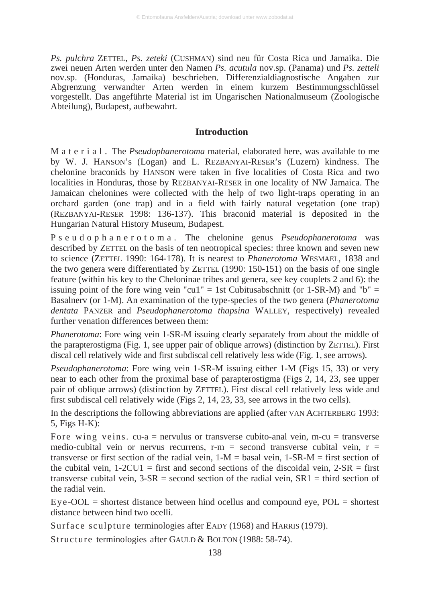*Ps. pulchra* ZETTEL, *Ps. zeteki* (CUSHMAN) sind neu für Costa Rica und Jamaika. Die zwei neuen Arten werden unter den Namen *Ps. acutula* nov.sp. (Panama) und *Ps. zetteli* nov.sp. (Honduras, Jamaika) beschrieben. Differenzialdiagnostische Angaben zur Abgrenzung verwandter Arten werden in einem kurzem Bestimmungsschlüssel vorgestellt. Das angeführte Material ist im Ungarischen Nationalmuseum (Zoologische Abteilung), Budapest, aufbewahrt.

#### **Introduction**

M a t e r i a l . The *Pseudophanerotoma* material, elaborated here, was available to me by W. J. HANSON's (Logan) and L. REZBANYAI-RESER's (Luzern) kindness. The chelonine braconids by HANSON were taken in five localities of Costa Rica and two localities in Honduras, those by REZBANYAI-RESER in one locality of NW Jamaica. The Jamaican chelonines were collected with the help of two light-traps operating in an orchard garden (one trap) and in a field with fairly natural vegetation (one trap) (REZBANYAI-RESER 1998: 136-137). This braconid material is deposited in the Hungarian Natural History Museum, Budapest.

P s e u d o p h a n e r o t o m a . The chelonine genus *Pseudophanerotoma* was described by ZETTEL on the basis of ten neotropical species: three known and seven new to science (ZETTEL 1990: 164-178). It is nearest to *Phanerotoma* WESMAEL, 1838 and the two genera were differentiated by ZETTEL (1990: 150-151) on the basis of one single feature (within his key to the Cheloninae tribes and genera, see key couplets 2 and 6): the issuing point of the fore wing vein "cu1" = 1st Cubitusabschnitt (or 1-SR-M) and "b" = Basalnerv (or 1-M). An examination of the type-species of the two genera (*Phanerotoma dentata* PANZER and *Pseudophanerotoma thapsina* WALLEY, respectively) revealed further venation differences between them:

*Phanerotoma*: Fore wing vein 1-SR-M issuing clearly separately from about the middle of the parapterostigma (Fig. 1, see upper pair of oblique arrows) (distinction by ZETTEL). First discal cell relatively wide and first subdiscal cell relatively less wide (Fig. 1, see arrows).

*Pseudophanerotoma*: Fore wing vein 1-SR-M issuing either 1-M (Figs 15, 33) or very near to each other from the proximal base of parapterostigma (Figs 2, 14, 23, see upper pair of oblique arrows) (distinction by ZETTEL). First discal cell relatively less wide and first subdiscal cell relatively wide (Figs 2, 14, 23, 33, see arrows in the two cells).

In the descriptions the following abbreviations are applied (after VAN ACHTERBERG 1993: 5, Figs H-K):

Fore wing veins.  $cu-a$  = nervulus or transverse cubito-anal vein, m-cu = transverse medio-cubital vein or nervus recurrens,  $r-m$  = second transverse cubital vein,  $r =$ transverse or first section of the radial vein,  $1-M =$  basal vein,  $1-SR-M =$  first section of the cubital vein,  $1-2CU1$  = first and second sections of the discoidal vein,  $2-SR =$  first transverse cubital vein,  $3-SR =$  second section of the radial vein,  $SR1 =$  third section of the radial vein.

 $Eye-OOL =$  shortest distance between hind ocellus and compound eye,  $POL =$  shortest distance between hind two ocelli.

Surface sculpture terminologies after EADY (1968) and HARRIS (1979).

Structure terminologies after GAULD & BOLTON (1988: 58-74).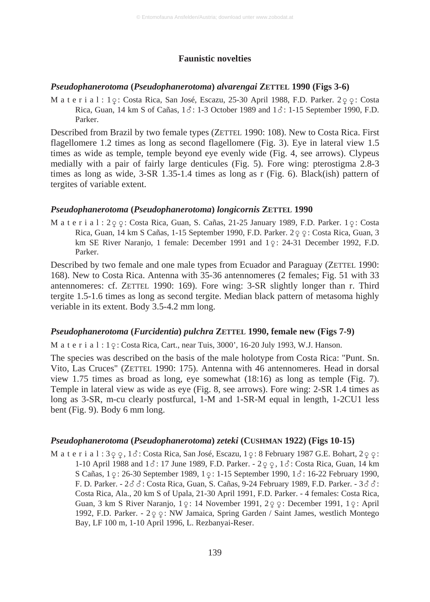## **Faunistic novelties**

#### *Pseudophanerotoma* **(***Pseudophanerotoma***)** *alvarengai* **ZETTEL 1990 (Figs 3-6)**

M a t e r i a l : 1  $\varphi$ : Costa Rica, San José, Escazu, 25-30 April 1988, F.D. Parker. 2  $\varphi$  : Costa Rica, Guan, 14 km S of Cañas,  $1\delta$ : 1-3 October 1989 and  $1\delta$ : 1-15 September 1990, F.D. Parker.

Described from Brazil by two female types (ZETTEL 1990: 108). New to Costa Rica. First flagellomere 1.2 times as long as second flagellomere (Fig. 3). Eye in lateral view 1.5 times as wide as temple, temple beyond eye evenly wide (Fig. 4, see arrows). Clypeus medially with a pair of fairly large denticules (Fig. 5). Fore wing: pterostigma 2.8-3 times as long as wide, 3-SR 1.35-1.4 times as long as r (Fig. 6). Black(ish) pattern of tergites of variable extent.

#### *Pseudophanerotoma* **(***Pseudophanerotoma***)** *longicornis* **ZETTEL 1990**

M a t e r i a l : 2ç ç : Costa Rica, Guan, S. Cañas, 21-25 January 1989, F.D. Parker. 1ç : Costa Rica, Guan, 14 km S Cañas, 1-15 September 1990, F.D. Parker. 2  $\varphi$  : Costa Rica, Guan, 3 km SE River Naranjo, 1 female: December 1991 and  $1\degree$ : 24-31 December 1992, F.D. Parker.

Described by two female and one male types from Ecuador and Paraguay (ZETTEL 1990: 168). New to Costa Rica. Antenna with 35-36 antennomeres (2 females; Fig. 51 with 33 antennomeres: cf. ZETTEL 1990: 169). Fore wing: 3-SR slightly longer than r. Third tergite 1.5-1.6 times as long as second tergite. Median black pattern of metasoma highly veriable in its extent. Body 3.5-4.2 mm long.

#### *Pseudophanerotoma* **(***Furcidentia***)** *pulchra* **ZETTEL 1990, female new (Figs 7-9)**

M a t e r i a l : 1  $\varphi$ : Costa Rica, Cart., near Tuis, 3000', 16-20 July 1993, W.J. Hanson.

The species was described on the basis of the male holotype from Costa Rica: "Punt. Sn. Vito, Las Cruces" (ZETTEL 1990: 175). Antenna with 46 antennomeres. Head in dorsal view 1.75 times as broad as long, eye somewhat (18:16) as long as temple (Fig. 7). Temple in lateral view as wide as eye (Fig. 8, see arrows). Fore wing: 2-SR 1.4 times as long as 3-SR, m-cu clearly postfurcal, 1-M and 1-SR-M equal in length, 1-2CU1 less bent (Fig. 9). Body 6 mm long.

# *Pseudophanerotoma* **(***Pseudophanerotoma***)** *zeteki* **(CUSHMAN 1922) (Figs 10-15)**

M a t e r i a l : 3 $\varphi$   $\varphi$  , 1 $\delta$ : Costa Rica, San José, Escazu, 1 $\varphi$ : 8 February 1987 G.E. Bohart, 2 $\varphi$   $\varphi$ : 1-10 April 1988 and  $1\delta$ : 17 June 1989, F.D. Parker. -  $2\varphi$ ,  $1\delta$ : Costa Rica, Guan, 14 km S Cañas,  $1 \, \varphi$ : 26-30 September 1989,  $1 \, \varphi$ : 1-15 September 1990,  $1 \, \delta$ : 16-22 February 1990, F. D. Parker. -  $2\delta\delta$ : Costa Rica, Guan, S. Cañas, 9-24 February 1989, F.D. Parker. -  $3\delta\delta$ : Costa Rica, Ala., 20 km S of Upala, 21-30 April 1991, F.D. Parker. - 4 females: Costa Rica, Guan, 3 km S River Naranjo, 1 $\varphi$ : 14 November 1991, 2 $\varphi$   $\varphi$ : December 1991, 1 $\varphi$ : April 1992, F.D. Parker. - 2 º º : NW Jamaica, Spring Garden / Saint James, westlich Montego Bay, LF 100 m, 1-10 April 1996, L. Rezbanyai-Reser.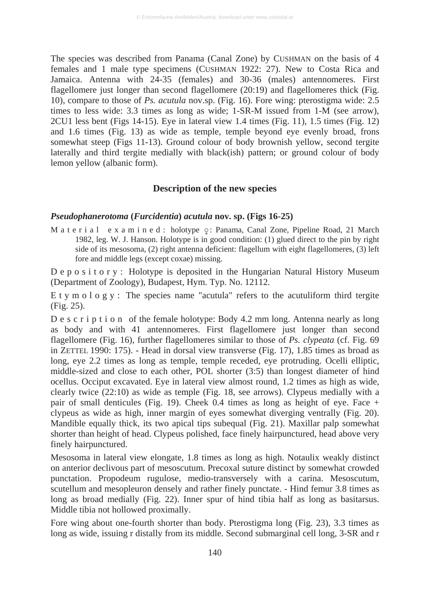The species was described from Panama (Canal Zone) by CUSHMAN on the basis of 4 females and 1 male type specimens (CUSHMAN 1922: 27). New to Costa Rica and Jamaica. Antenna with 24-35 (females) and 30-36 (males) antennomeres. First flagellomere just longer than second flagellomere (20:19) and flagellomeres thick (Fig. 10), compare to those of *Ps. acutula* nov.sp. (Fig. 16). Fore wing: pterostigma wide: 2.5 times to less wide: 3.3 times as long as wide; 1-SR-M issued from 1-M (see arrow), 2CU1 less bent (Figs 14-15). Eye in lateral view 1.4 times (Fig. 11), 1.5 times (Fig. 12) and 1.6 times (Fig. 13) as wide as temple, temple beyond eye evenly broad, frons somewhat steep (Figs 11-13). Ground colour of body brownish yellow, second tergite laterally and third tergite medially with black(ish) pattern; or ground colour of body lemon yellow (albanic form).

#### **Description of the new species**

#### *Pseudophanerotoma* **(***Furcidentia***)** *acutula* **nov. sp. (Figs 16-25)**

M a t e r i a l e x a m i n e d : holotype  $\varphi$ : Panama, Canal Zone, Pipeline Road, 21 March 1982, leg. W. J. Hanson. Holotype is in good condition: (1) glued direct to the pin by right side of its mesosoma, (2) right antenna deficient: flagellum with eight flagellomeres, (3) left fore and middle legs (except coxae) missing.

D e p o s i t o r y : Holotype is deposited in the Hungarian Natural History Museum (Department of Zoology), Budapest, Hym. Typ. No. 12112.

E t y m o l o g y : The species name "acutula" refers to the acutuliform third tergite (Fig. 25).

D e s c r i p t i o n of the female holotype: Body 4.2 mm long. Antenna nearly as long as body and with 41 antennomeres. First flagellomere just longer than second flagellomere (Fig. 16), further flagellomeres similar to those of *Ps. clypeata* (cf. Fig. 69 in ZETTEL 1990: 175). - Head in dorsal view transverse (Fig. 17), 1.85 times as broad as long, eye 2.2 times as long as temple, temple receded, eye protruding. Ocelli elliptic, middle-sized and close to each other, POL shorter (3:5) than longest diameter of hind ocellus. Occiput excavated. Eye in lateral view almost round, 1.2 times as high as wide, clearly twice (22:10) as wide as temple (Fig. 18, see arrows). Clypeus medially with a pair of small denticules (Fig. 19). Cheek 0.4 times as long as height of eye. Face + clypeus as wide as high, inner margin of eyes somewhat diverging ventrally (Fig. 20). Mandible equally thick, its two apical tips subequal (Fig. 21). Maxillar palp somewhat shorter than height of head. Clypeus polished, face finely hairpunctured, head above very finely hairpunctured.

Mesosoma in lateral view elongate, 1.8 times as long as high. Notaulix weakly distinct on anterior declivous part of mesoscutum. Precoxal suture distinct by somewhat crowded punctation. Propodeum rugulose, medio-transversely with a carina. Mesoscutum, scutellum and mesopleuron densely and rather finely punctate. - Hind femur 3.8 times as long as broad medially (Fig. 22). Inner spur of hind tibia half as long as basitarsus. Middle tibia not hollowed proximally.

Fore wing about one-fourth shorter than body. Pterostigma long (Fig. 23), 3.3 times as long as wide, issuing r distally from its middle. Second submarginal cell long, 3-SR and r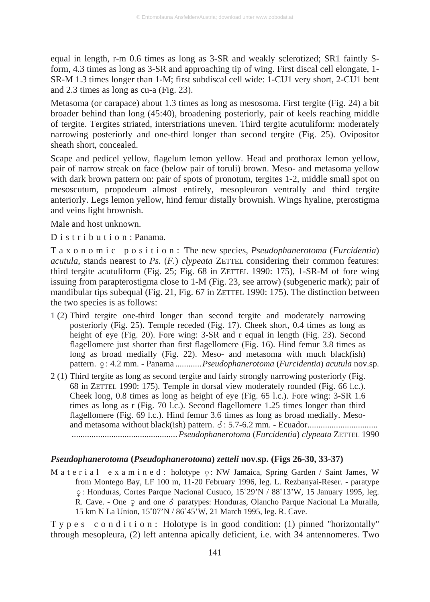equal in length, r-m 0.6 times as long as 3-SR and weakly sclerotized; SR1 faintly Sform, 4.3 times as long as 3-SR and approaching tip of wing. First discal cell elongate, 1- SR-M 1.3 times longer than 1-M; first subdiscal cell wide: 1-CU1 very short, 2-CU1 bent and 2.3 times as long as cu-a (Fig. 23).

Metasoma (or carapace) about 1.3 times as long as mesosoma. First tergite (Fig. 24) a bit broader behind than long (45:40), broadening posteriorly, pair of keels reaching middle of tergite. Tergites striated, interstriations uneven. Third tergite acutuliform: moderately narrowing posteriorly and one-third longer than second tergite (Fig. 25). Ovipositor sheath short, concealed.

Scape and pedicel yellow, flagelum lemon yellow. Head and prothorax lemon yellow, pair of narrow streak on face (below pair of toruli) brown. Meso- and metasoma yellow with dark brown pattern on: pair of spots of pronotum, tergites 1-2, middle small spot on mesoscutum, propodeum almost entirely, mesopleuron ventrally and third tergite anteriorly. Legs lemon yellow, hind femur distally brownish. Wings hyaline, pterostigma and veins light brownish.

Male and host unknown.

D is tribution: Panama.

T a x o n o m i c p o s i t i o n : The new species, *Pseudophanerotoma* (*Furcidentia*) *acutula*, stands nearest to *Ps.* (*F.*) *clypeata* ZETTEL considering their common features: third tergite acutuliform (Fig. 25; Fig. 68 in ZETTEL 1990: 175), 1-SR-M of fore wing issuing from parapterostigma close to 1-M (Fig. 23, see arrow) (subgeneric mark); pair of mandibular tips subequal (Fig. 21, Fig. 67 in ZETTEL 1990: 175). The distinction between the two species is as follows:

- 1 (2) Third tergite one-third longer than second tergite and moderately narrowing posteriorly (Fig. 25). Temple receded (Fig. 17). Cheek short, 0.4 times as long as height of eye (Fig. 20). Fore wing: 3-SR and r equal in length (Fig. 23). Second flagellomere just shorter than first flagellomere (Fig. 16). Hind femur 3.8 times as long as broad medially (Fig. 22). Meso- and metasoma with much black(ish) pattern.  $\varphi$ : 4.2 mm. - Panama ...........*Pseudophanerotoma (Furcidentia) acutula* nov.sp.
- 2 (1) Third tergite as long as second tergite and fairly strongly narrowing posteriorly (Fig. 68 in ZETTEL 1990: 175). Temple in dorsal view moderately rounded (Fig. 66 l.c.). Cheek long, 0.8 times as long as height of eye (Fig. 65 l.c.). Fore wing: 3-SR 1.6 times as long as r (Fig. 70 l.c.). Second flagellomere 1.25 times longer than third flagellomere (Fig. 69 l.c.). Hind femur 3.6 times as long as broad medially. Mesoand metasoma without black(ish) pattern. : 5.7-6.2 mm. - Ecuador................................ ................................................*Pseudophanerotoma* (*Furcidentia*) *clypeata* ZETTEL 1990

## *Pseudophanerotoma* **(***Pseudophanerotoma***)** *zetteli* **nov.sp. (Figs 26-30, 33-37)**

M a t e r i a l e x a m i n e d : holotype  $\varphi$ : NW Jamaica, Spring Garden / Saint James, W from Montego Bay, LF 100 m, 11-20 February 1996, leg. L. Rezbanyai-Reser. - paratype ç: Honduras, Cortes Parque Nacional Cusuco, 15°29'N / 88°13'W, 15 January 1995, leg. R. Cave. - One  $\varphi$  and one  $\delta$  paratypes: Honduras, Olancho Parque Nacional La Muralla, 15 km N La Union, 15°07'N / 86°45'W, 21 March 1995, leg. R. Cave.

T y p e s c o n d i t i o n : Holotype is in good condition: (1) pinned "horizontally" through mesopleura, (2) left antenna apically deficient, i.e. with 34 antennomeres. Two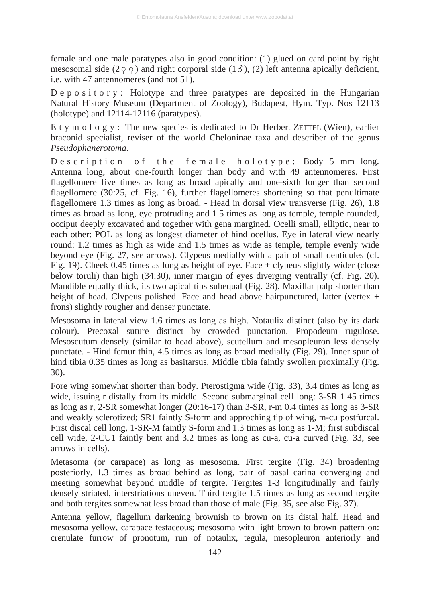female and one male paratypes also in good condition: (1) glued on card point by right mesosomal side  $(2\varphi \varphi)$  and right corporal side  $(1\varphi)$ , (2) left antenna apically deficient, i.e. with 47 antennomeres (and not 51).

 $D \in \mathfrak{p}$  o s i t o r y : Holotype and three paratypes are deposited in the Hungarian Natural History Museum (Department of Zoology), Budapest, Hym. Typ. Nos 12113 (holotype) and 12114-12116 (paratypes).

E t y m o l o g y : The new species is dedicated to Dr Herbert ZETTEL (Wien), earlier braconid specialist, reviser of the world Cheloninae taxa and describer of the genus *Pseudophanerotoma*.

Description of the female holotype: Body 5 mm long. Antenna long, about one-fourth longer than body and with 49 antennomeres. First flagellomere five times as long as broad apically and one-sixth longer than second flagellomere (30:25, cf. Fig. 16), further flagellomeres shortening so that penultimate flagellomere 1.3 times as long as broad. - Head in dorsal view transverse (Fig. 26), 1.8 times as broad as long, eye protruding and 1.5 times as long as temple, temple rounded, occiput deeply excavated and together with gena margined. Ocelli small, elliptic, near to each other: POL as long as longest diameter of hind ocellus. Eye in lateral view nearly round: 1.2 times as high as wide and 1.5 times as wide as temple, temple evenly wide beyond eye (Fig. 27, see arrows). Clypeus medially with a pair of small denticules (cf. Fig. 19). Cheek 0.45 times as long as height of eye. Face + clypeus slightly wider (close below toruli) than high (34:30), inner margin of eyes diverging ventrally (cf. Fig. 20). Mandible equally thick, its two apical tips subequal (Fig. 28). Maxillar palp shorter than height of head. Clypeus polished. Face and head above hairpunctured, latter (vertex + frons) slightly rougher and denser punctate.

Mesosoma in lateral view 1.6 times as long as high. Notaulix distinct (also by its dark colour). Precoxal suture distinct by crowded punctation. Propodeum rugulose. Mesoscutum densely (similar to head above), scutellum and mesopleuron less densely punctate. - Hind femur thin, 4.5 times as long as broad medially (Fig. 29). Inner spur of hind tibia 0.35 times as long as basitarsus. Middle tibia faintly swollen proximally (Fig. 30).

Fore wing somewhat shorter than body. Pterostigma wide (Fig. 33), 3.4 times as long as wide, issuing r distally from its middle. Second submarginal cell long: 3-SR 1.45 times as long as r, 2-SR somewhat longer (20:16-17) than 3-SR, r-m 0.4 times as long as 3-SR and weakly sclerotized; SR1 faintly S-form and approching tip of wing, m-cu postfurcal. First discal cell long, 1-SR-M faintly S-form and 1.3 times as long as 1-M; first subdiscal cell wide, 2-CU1 faintly bent and 3.2 times as long as cu-a, cu-a curved (Fig. 33, see arrows in cells).

Metasoma (or carapace) as long as mesosoma. First tergite (Fig. 34) broadening posteriorly, 1.3 times as broad behind as long, pair of basal carina converging and meeting somewhat beyond middle of tergite. Tergites 1-3 longitudinally and fairly densely striated, interstriations uneven. Third tergite 1.5 times as long as second tergite and both tergites somewhat less broad than those of male (Fig. 35, see also Fig. 37).

Antenna yellow, flagellum darkening brownish to brown on its distal half. Head and mesosoma yellow, carapace testaceous; mesosoma with light brown to brown pattern on: crenulate furrow of pronotum, run of notaulix, tegula, mesopleuron anteriorly and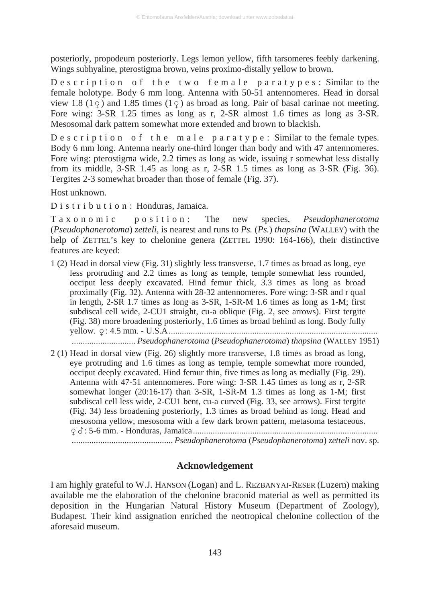posteriorly, propodeum posteriorly. Legs lemon yellow, fifth tarsomeres feebly darkening. Wings subhyaline, pterostigma brown, veins proximo-distally yellow to brown.

Description of the two female paratypes: Similar to the female holotype. Body 6 mm long. Antenna with 50-51 antennomeres. Head in dorsal view 1.8 ( $1\varphi$ ) and 1.85 times ( $1\varphi$ ) as broad as long. Pair of basal carinae not meeting. Fore wing: 3-SR 1.25 times as long as r, 2-SR almost 1.6 times as long as 3-SR. Mesosomal dark pattern somewhat more extended and brown to blackish.

Description of the male paratype: Similar to the female types. Body 6 mm long. Antenna nearly one-third longer than body and with 47 antennomeres. Fore wing: pterostigma wide, 2.2 times as long as wide, issuing r somewhat less distally from its middle, 3-SR 1.45 as long as r, 2-SR 1.5 times as long as 3-SR (Fig. 36). Tergites 2-3 somewhat broader than those of female (Fig. 37).

Host unknown.

D i s t r i b u t i o n : Honduras, Jamaica.

T a x o n o m i c p o s i t i o n : The new species, *Pseudophanerotoma* (*Pseudophanerotoma*) *zetteli*, is nearest and runs to *Ps.* (*Ps.*) *thapsina* (WALLEY) with the help of ZETTEL's key to chelonine genera (ZETTEL 1990: 164-166), their distinctive features are keyed:

- 1 (2) Head in dorsal view (Fig. 31) slightly less transverse, 1.7 times as broad as long, eye less protruding and 2.2 times as long as temple, temple somewhat less rounded, occiput less deeply excavated. Hind femur thick, 3.3 times as long as broad proximally (Fig. 32). Antenna with 28-32 antennomeres. Fore wing: 3-SR and r qual in length, 2-SR 1.7 times as long as 3-SR, 1-SR-M 1.6 times as long as 1-M; first subdiscal cell wide, 2-CU1 straight, cu-a oblique (Fig. 2, see arrows). First tergite (Fig. 38) more broadening posteriorly, 1.6 times as broad behind as long. Body fully yellow. -: 4.5 mm. - U.S.A............................................................................................... ............................. *Pseudophanerotoma* (*Pseudophanerotoma*) *thapsina* (WALLEY 1951)
- 2 (1) Head in dorsal view (Fig. 26) slightly more transverse, 1.8 times as broad as long, eye protruding and 1.6 times as long as temple, temple somewhat more rounded, occiput deeply excavated. Hind femur thin, five times as long as medially (Fig. 29). Antenna with 47-51 antennomeres. Fore wing: 3-SR 1.45 times as long as r, 2-SR somewhat longer (20:16-17) than 3-SR, 1-SR-M 1.3 times as long as 1-M; first subdiscal cell less wide, 2-CU1 bent, cu-a curved (Fig. 33, see arrows). First tergite (Fig. 34) less broadening posteriorly, 1.3 times as broad behind as long. Head and mesosoma yellow, mesosoma with a few dark brown pattern, metasoma testaceous. -: 5-6 mm. - Honduras, Jamaica.................................................................................... .............................................. *Pseudophanerotoma* (*Pseudophanerotoma*) *zetteli* nov. sp.

#### **Acknowledgement**

I am highly grateful to W.J. HANSON (Logan) and L. REZBANYAI-RESER (Luzern) making available me the elaboration of the chelonine braconid material as well as permitted its deposition in the Hungarian Natural History Museum (Department of Zoology), Budapest. Their kind assignation enriched the neotropical chelonine collection of the aforesaid museum.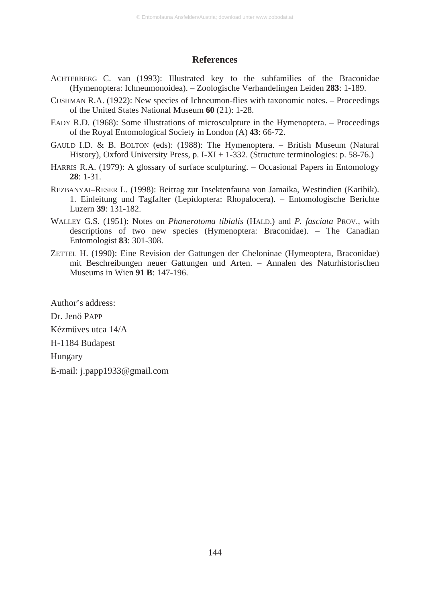#### **References**

- ACHTERBERG C. van (1993): Illustrated key to the subfamilies of the Braconidae (Hymenoptera: Ichneumonoidea). – Zoologische Verhandelingen Leiden **283**: 1-189.
- CUSHMAN R.A. (1922): New species of Ichneumon-flies with taxonomic notes. Proceedings of the United States National Museum **60** (21): 1-28.
- EADY R.D. (1968): Some illustrations of microsculpture in the Hymenoptera. Proceedings of the Royal Entomological Society in London (A) **43**: 66-72.
- GAULD I.D. & B. BOLTON (eds): (1988): The Hymenoptera. British Museum (Natural History), Oxford University Press, p. I-XI + 1-332. (Structure terminologies: p. 58-76.)
- HARRIS R.A. (1979): A glossary of surface sculpturing. Occasional Papers in Entomology **28**: 1-31.
- REZBANYAI–RESER L. (1998): Beitrag zur Insektenfauna von Jamaika, Westindien (Karibik). 1. Einleitung und Tagfalter (Lepidoptera: Rhopalocera). – Entomologische Berichte Luzern **39**: 131-182.
- WALLEY G.S. (1951): Notes on *Phanerotoma tibialis* (HALD.) and *P. fasciata* PROV., with descriptions of two new species (Hymenoptera: Braconidae). – The Canadian Entomologist **83**: 301-308.
- ZETTEL H. (1990): Eine Revision der Gattungen der Cheloninae (Hymeoptera, Braconidae) mit Beschreibungen neuer Gattungen und Arten. – Annalen des Naturhistorischen Museums in Wien **91 B**: 147-196.

Author's address: Dr. Jenő PAPP Kézműves utca 14/A H-1184 Budapest Hungary E-mail: j.papp1933@gmail.com

144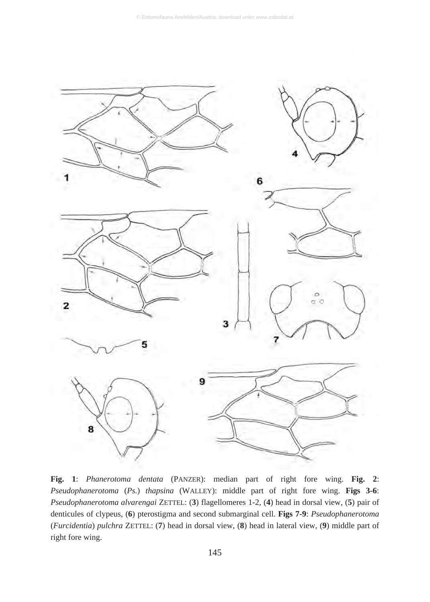

**Fig. 1**: *Phanerotoma dentata* (PANZER): median part of right fore wing. **Fig. 2**: *Pseudophanerotoma* (*Ps.*) *thapsina* (WALLEY): middle part of right fore wing. **Figs 3-6**: *Pseudophanerotoma alvarengai* ZETTEL: (**3**) flagellomeres 1-2, (**4**) head in dorsal view, (**5**) pair of denticules of clypeus, (**6**) pterostigma and second submarginal cell. **Figs 7-9**: *Pseudophanerotoma* (*Furcidentia*) *pulchra* ZETTEL: (**7**) head in dorsal view, (**8**) head in lateral view, (**9**) middle part of right fore wing.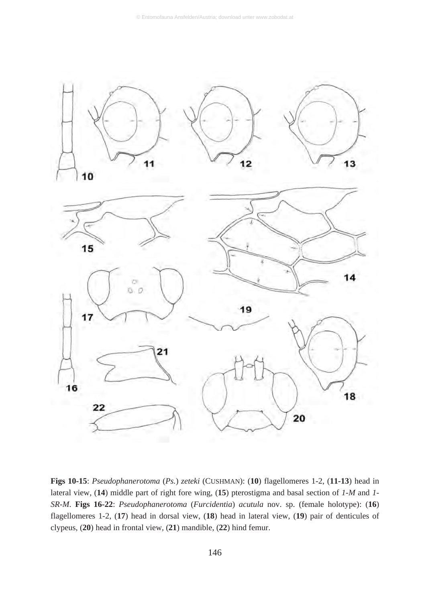

**Figs 10-15**: *Pseudophanerotoma* (*Ps.*) *zeteki* (CUSHMAN): (**10**) flagellomeres 1-2, (**11-13**) head in lateral view, (**14**) middle part of right fore wing, (**15**) pterostigma and basal section of *1-M* and *1- SR-M*. **Figs 16-22**: *Pseudophanerotoma* (*Furcidentia*) *acutula* nov. sp. (female holotype): (**16**) flagellomeres 1-2, (**17**) head in dorsal view, (**18**) head in lateral view, (**19**) pair of denticules of clypeus, (**20**) head in frontal view, (**21**) mandible, (**22**) hind femur.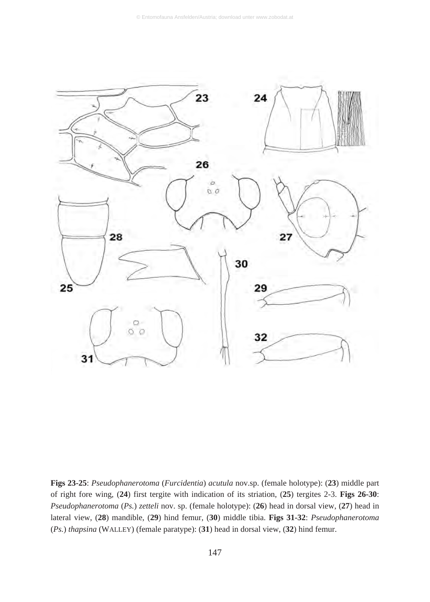

**Figs 23-25**: *Pseudophanerotoma* (*Furcidentia*) *acutula* nov.sp. (female holotype): (**23**) middle part of right fore wing, (**24**) first tergite with indication of its striation, (**25**) tergites 2-3. **Figs 26-30**: *Pseudophanerotoma* (*Ps.*) *zetteli* nov. sp. (female holotype): (**26**) head in dorsal view, (**27**) head in lateral view, (**28**) mandible, (**29**) hind femur, (**30**) middle tibia. **Figs 31-32**: *Pseudophanerotoma* (*Ps.*) *thapsina* (WALLEY) (female paratype): (**31**) head in dorsal view, (**32**) hind femur.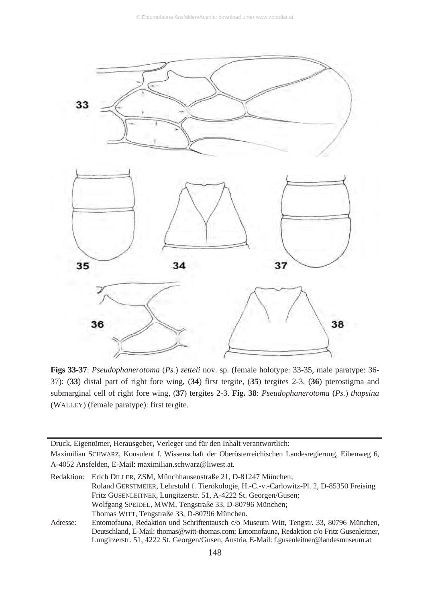

**Figs 33-37**: *Pseudophanerotoma* (*Ps.*) *zetteli* nov. sp. (female holotype: 33-35, male paratype: 36- 37): (**33**) distal part of right fore wing, (**34**) first tergite, (**35**) tergites 2-3, (**36**) pterostigma and submarginal cell of right fore wing, (**37**) tergites 2-3. **Fig. 38**: *Pseudophanerotoma* (*Ps.*) *thapsina* (WALLEY) (female paratype): first tergite.

Druck, Eigentümer, Herausgeber, Verleger und für den Inhalt verantwortlich: Maximilian SCHWARZ, Konsulent f. Wissenschaft der Oberösterreichischen Landesregierung, Eibenweg 6, A-4052 Ansfelden, E-Mail: maximilian.schwarz@liwest.at.

|          | Redaktion: Erich DILLER, ZSM, Münchhausenstraße 21, D-81247 München;                        |
|----------|---------------------------------------------------------------------------------------------|
|          | Roland GERSTMEIER, Lehrstuhl f. Tierökologie, H.-C.-v.-Carlowitz-Pl. 2, D-85350 Freising    |
|          | Fritz GUSENLEITNER, Lungitzerstr. 51, A-4222 St. Georgen/Gusen;                             |
|          | Wolfgang SPEIDEL, MWM, Tengstraße 33, D-80796 München;                                      |
|          | Thomas WITT, Tengstraße 33, D-80796 München.                                                |
| Adresse: | Entomofauna, Redaktion und Schriftentausch c/o Museum Witt, Tengstr. 33, 80796 München,     |
|          | Deutschland, E-Mail: thomas@witt-thomas.com; Entomofauna, Redaktion c/o Fritz Gusenleitner, |
|          | Lungitzerstr. 51, 4222 St. Georgen/Gusen, Austria, E-Mail: f.gusenleitner@landesmuseum.at   |